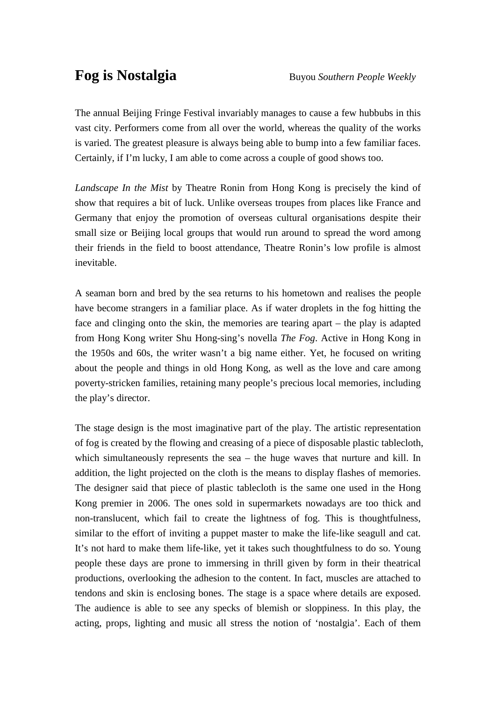The annual Beijing Fringe Festival invariably manages to cause a few hubbubs in this vast city. Performers come from all over the world, whereas the quality of the works is varied. The greatest pleasure is always being able to bump into a few familiar faces. Certainly, if I'm lucky, I am able to come across a couple of good shows too.

*Landscape In the Mist* by Theatre Ronin from Hong Kong is precisely the kind of show that requires a bit of luck. Unlike overseas troupes from places like France and Germany that enjoy the promotion of overseas cultural organisations despite their small size or Beijing local groups that would run around to spread the word among their friends in the field to boost attendance, Theatre Ronin's low profile is almost inevitable.

A seaman born and bred by the sea returns to his hometown and realises the people have become strangers in a familiar place. As if water droplets in the fog hitting the face and clinging onto the skin, the memories are tearing apart – the play is adapted from Hong Kong writer Shu Hong-sing's novella *The Fog*. Active in Hong Kong in the 1950s and 60s, the writer wasn't a big name either. Yet, he focused on writing about the people and things in old Hong Kong, as well as the love and care among poverty-stricken families, retaining many people's precious local memories, including the play's director.

The stage design is the most imaginative part of the play. The artistic representation of fog is created by the flowing and creasing of a piece of disposable plastic tablecloth, which simultaneously represents the sea – the huge waves that nurture and kill. In addition, the light projected on the cloth is the means to display flashes of memories. The designer said that piece of plastic tablecloth is the same one used in the Hong Kong premier in 2006. The ones sold in supermarkets nowadays are too thick and non-translucent, which fail to create the lightness of fog. This is thoughtfulness, similar to the effort of inviting a puppet master to make the life-like seagull and cat. It's not hard to make them life-like, yet it takes such thoughtfulness to do so. Young people these days are prone to immersing in thrill given by form in their theatrical productions, overlooking the adhesion to the content. In fact, muscles are attached to tendons and skin is enclosing bones. The stage is a space where details are exposed. The audience is able to see any specks of blemish or sloppiness. In this play, the acting, props, lighting and music all stress the notion of 'nostalgia'. Each of them